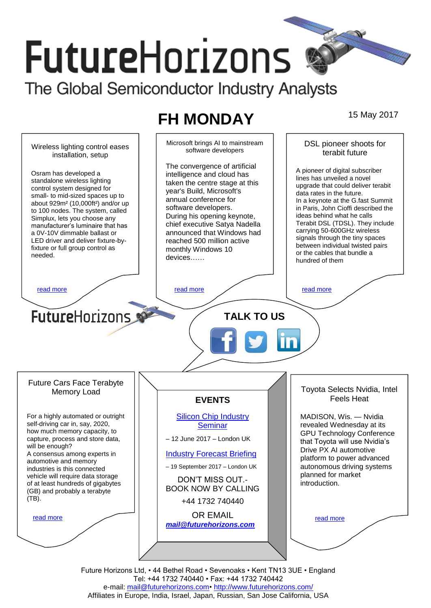# **FutureHorizons** The Global Semiconductor Industry Analysts

# **FH MONDAY** 15 May 2017

Microsoft brings AI to mainstream DSL pioneer shoots for Wireless lighting control eases software developers terabit future installation, setup The convergence of artificial A pioneer of digital subscriber Osram has developed a intelligence and cloud has lines has unveiled a novel standalone wireless lighting taken the centre stage at this upgrade that could deliver terabit control system designed for year's Build, Microsoft's data rates in the future. small- to mid-sized spaces up to annual conference for In a keynote at the G.fast Summit about 929m² (10,000ft²) and/or up software developers. in Paris, John Cioffi described the to 100 nodes. The system, called During his opening keynote, ideas behind what he calls Simplux, lets you choose any Terabit DSL (TDSL). They include chief executive Satya Nadella manufacturer's luminaire that has carrying 50-600GHz wireless announced that Windows had a 0V-10V dimmable ballast or signals through the tiny spaces LED driver and deliver fixture-byreached 500 million active between individual twisted pairs fixture or full group control as monthly Windows 10 or the cables that bundle a needed. devices…… hundred of them [read more](#page-1-1) that the second contract the second contract of the read more that the read more that the read more **Future**Horizons **TALK TO US** Future Cars Face Terabyte Toyota Selects Nvidia, Intel Memory Load Feels Heat **EVENTS** For a highly automated or outright [Silicon Chip Industry](http://www.futurehorizons.com/page/12/silicon-chip-training)  MADISON, Wis. — Nvidia self-driving car in, say, 2020, revealed Wednesday at its **[Seminar](http://www.futurehorizons.com/page/12/silicon-chip-training)** how much memory capacity, to GPU Technology Conference capture, process and store data, – 12 June 2017 – London UK that Toyota will use Nvidia's will be enough? Drive PX AI automotive A consensus among experts in [Industry Forecast Briefing](http://www.futurehorizons.com/page/13/Semiconductor-Market-Forecast-Seminar) platform to power advanced automotive and memory – 19 September 2017 – London UK autonomous driving systems industries is this connected planned for market vehicle will require data storage DON'T MISS OUT. introduction. of at least hundreds of gigabytes BOOK NOW BY CALLING (GB) and probably a terabyte (TB).+44 1732 740440 OR EMAIL [read more](#page-1-3) [read more](#page-1-4) *[mail@futurehorizons.com](mailto:mail@futurehorizons.com)*

> Future Horizons Ltd, • 44 Bethel Road • Sevenoaks • Kent TN13 3UE • England Tel: +44 1732 740440 • Fax: +44 1732 740442 e-mail: mail@futurehorizons.com• http://www.futurehorizons.com/ Affiliates in Europe, India, Israel, Japan, Russian, San Jose California, USA